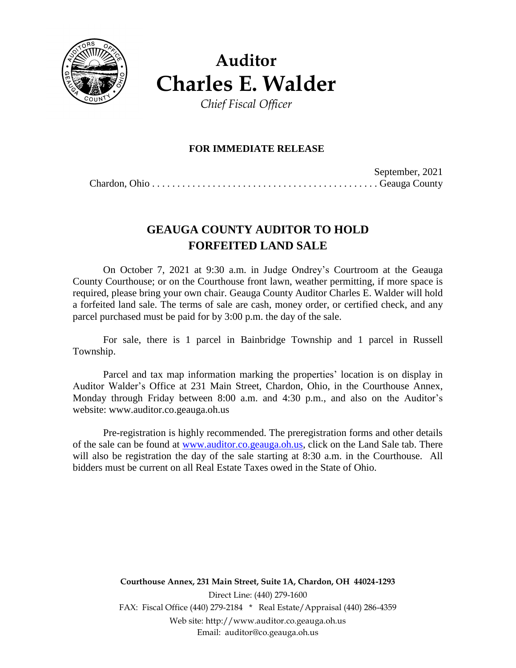

**Auditor Charles E. Walder** *Chief Fiscal Officer*

**FOR IMMEDIATE RELEASE**

September, 2021 Chardon, Ohio . . . . . . . . . . . . . . . . . . . . . . . . . . . . . . . . . . . . . . . . . . . . . Geauga County

# **GEAUGA COUNTY AUDITOR TO HOLD FORFEITED LAND SALE**

On October 7, 2021 at 9:30 a.m. in Judge Ondrey's Courtroom at the Geauga County Courthouse; or on the Courthouse front lawn, weather permitting, if more space is required, please bring your own chair. Geauga County Auditor Charles E. Walder will hold a forfeited land sale. The terms of sale are cash, money order, or certified check, and any parcel purchased must be paid for by 3:00 p.m. the day of the sale.

For sale, there is 1 parcel in Bainbridge Township and 1 parcel in Russell Township.

Parcel and tax map information marking the properties' location is on display in Auditor Walder's Office at 231 Main Street, Chardon, Ohio, in the Courthouse Annex, Monday through Friday between 8:00 a.m. and 4:30 p.m., and also on the Auditor's website: www.auditor.co.geauga.oh.us

Pre-registration is highly recommended. The preregistration forms and other details of the sale can be found at [www.auditor.co.geauga.oh.us,](http://www.auditor.co.geauga.oh.us/) click on the Land Sale tab. There will also be registration the day of the sale starting at 8:30 a.m. in the Courthouse. All bidders must be current on all Real Estate Taxes owed in the State of Ohio.

> **Courthouse Annex, 231 Main Street, Suite 1A, Chardon, OH 44024-1293** Direct Line: (440) 279-1600 FAX: Fiscal Office (440) 279-2184 \* Real Estate/Appraisal (440) 286-4359 Web site: http://www.auditor.co.geauga.oh.us Email: auditor@co.geauga.oh.us